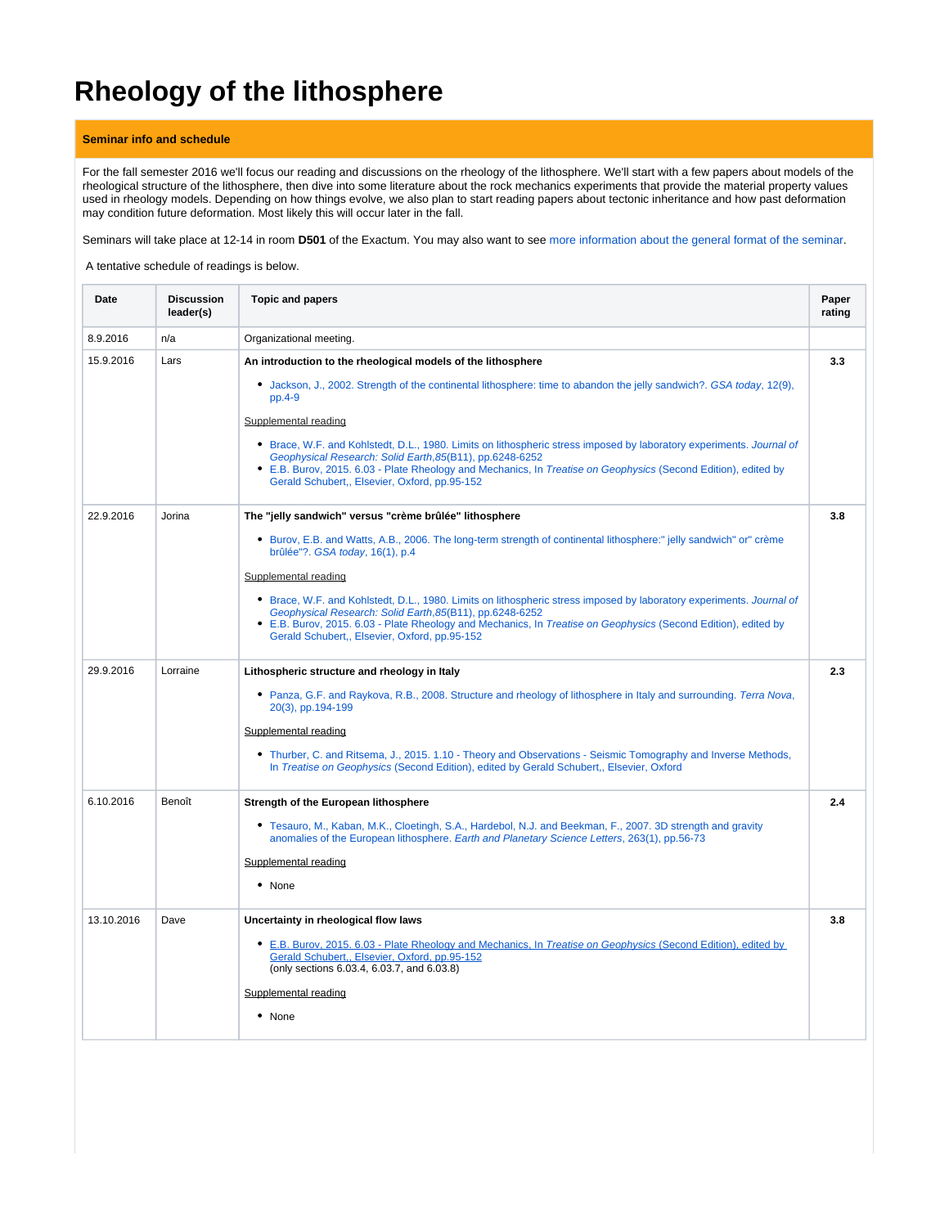# **Rheology of the lithosphere**

### **Seminar info and schedule**

For the fall semester 2016 we'll focus our reading and discussions on the rheology of the lithosphere. We'll start with a few papers about models of the rheological structure of the lithosphere, then dive into some literature about the rock mechanics experiments that provide the material property values used in rheology models. Depending on how things evolve, we also plan to start reading papers about tectonic inheritance and how past deformation may condition future deformation. Most likely this will occur later in the fall.

Seminars will take place at 12-14 in room **D501** of the Exactum. You may also want to see [more information about the general format of the seminar](https://wiki.helsinki.fi/display/HUGG/Seminar+format).

A tentative schedule of readings is below.

| Date       | <b>Discussion</b><br>leader(s) | <b>Topic and papers</b>                                                                                                                                                                                                                                                                                                                             | Paper<br>rating |
|------------|--------------------------------|-----------------------------------------------------------------------------------------------------------------------------------------------------------------------------------------------------------------------------------------------------------------------------------------------------------------------------------------------------|-----------------|
| 8.9.2016   | n/a                            | Organizational meeting.                                                                                                                                                                                                                                                                                                                             |                 |
| 15.9.2016  | Lars                           | An introduction to the rheological models of the lithosphere                                                                                                                                                                                                                                                                                        | 3.3             |
|            |                                | • Jackson, J., 2002. Strength of the continental lithosphere: time to abandon the jelly sandwich?. GSA today, 12(9),<br>$pp.4-9$                                                                                                                                                                                                                    |                 |
|            |                                | Supplemental reading                                                                                                                                                                                                                                                                                                                                |                 |
|            |                                | • Brace, W.F. and Kohlstedt, D.L., 1980. Limits on lithospheric stress imposed by laboratory experiments. Journal of<br>Geophysical Research: Solid Earth, 85(B11), pp.6248-6252<br>• E.B. Burov, 2015. 6.03 - Plate Rheology and Mechanics, In Treatise on Geophysics (Second Edition), edited by<br>Gerald Schubert,, Elsevier, Oxford, pp.95-152 |                 |
| 22.9.2016  | Jorina                         | The "jelly sandwich" versus "crème brûlée" lithosphere                                                                                                                                                                                                                                                                                              | 3.8             |
|            |                                | • Burov, E.B. and Watts, A.B., 2006. The long-term strength of continental lithosphere:" jelly sandwich" or" crème<br>brûlée"?. GSA today, 16(1), p.4                                                                                                                                                                                               |                 |
|            |                                | Supplemental reading                                                                                                                                                                                                                                                                                                                                |                 |
|            |                                | • Brace, W.F. and Kohlstedt, D.L., 1980. Limits on lithospheric stress imposed by laboratory experiments. Journal of<br>Geophysical Research: Solid Earth, 85(B11), pp.6248-6252<br>• E.B. Burov, 2015. 6.03 - Plate Rheology and Mechanics, In Treatise on Geophysics (Second Edition), edited by<br>Gerald Schubert,, Elsevier, Oxford, pp.95-152 |                 |
| 29.9.2016  | Lorraine                       | Lithospheric structure and rheology in Italy                                                                                                                                                                                                                                                                                                        | 2.3             |
|            |                                | • Panza, G.F. and Raykova, R.B., 2008. Structure and rheology of lithosphere in Italy and surrounding. Terra Nova,<br>20(3), pp.194-199                                                                                                                                                                                                             |                 |
|            |                                | Supplemental reading                                                                                                                                                                                                                                                                                                                                |                 |
|            |                                | • Thurber, C. and Ritsema, J., 2015. 1.10 - Theory and Observations - Seismic Tomography and Inverse Methods,<br>In Treatise on Geophysics (Second Edition), edited by Gerald Schubert,, Elsevier, Oxford                                                                                                                                           |                 |
| 6.10.2016  | Benoît                         | Strength of the European lithosphere                                                                                                                                                                                                                                                                                                                | 2.4             |
|            |                                | • Tesauro, M., Kaban, M.K., Cloetingh, S.A., Hardebol, N.J. and Beekman, F., 2007. 3D strength and gravity<br>anomalies of the European lithosphere. Earth and Planetary Science Letters, 263(1), pp.56-73                                                                                                                                          |                 |
|            |                                | Supplemental reading                                                                                                                                                                                                                                                                                                                                |                 |
|            |                                | $\bullet$ None                                                                                                                                                                                                                                                                                                                                      |                 |
| 13.10.2016 | Dave                           | Uncertainty in rheological flow laws                                                                                                                                                                                                                                                                                                                | 3.8             |
|            |                                | • E.B. Burov, 2015. 6.03 - Plate Rheology and Mechanics, In Treatise on Geophysics (Second Edition), edited by<br>Gerald Schubert,, Elsevier, Oxford, pp.95-152<br>(only sections 6.03.4, 6.03.7, and 6.03.8)                                                                                                                                       |                 |
|            |                                | Supplemental reading                                                                                                                                                                                                                                                                                                                                |                 |
|            |                                | • None                                                                                                                                                                                                                                                                                                                                              |                 |